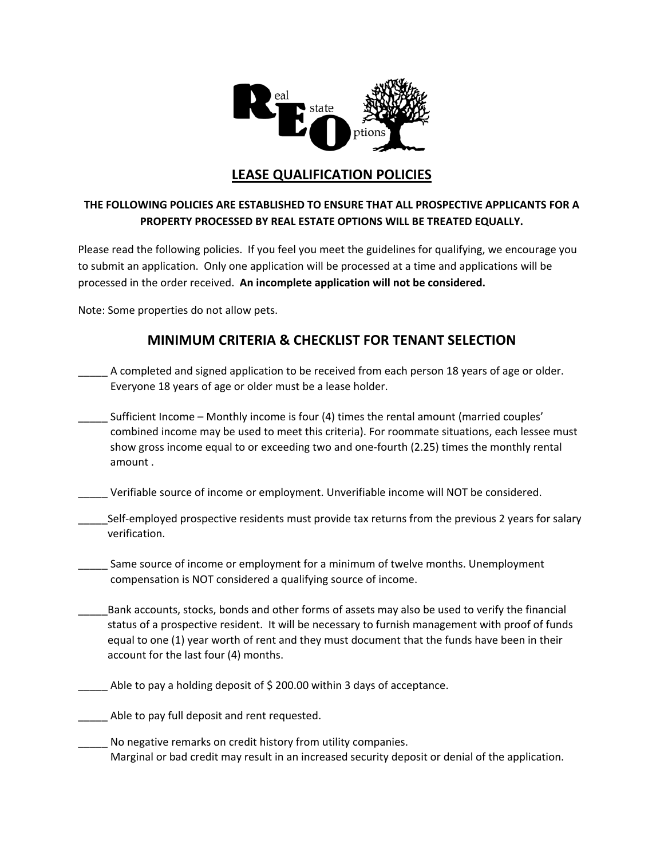

## **LEASE QUALIFICATION POLICIES**

## **THE FOLLOWING POLICIES ARE ESTABLISHED TO ENSURE THAT ALL PROSPECTIVE APPLICANTS FOR A PROPERTY PROCESSED BY REAL ESTATE OPTIONS WILL BE TREATED EQUALLY.**

Please read the following policies. If you feel you meet the guidelines for qualifying, we encourage you to submit an application. Only one application will be processed at a time and applications will be processed in the order received. **An incomplete application will not be considered.**

Note: Some properties do not allow pets.

## **MINIMUM CRITERIA & CHECKLIST FOR TENANT SELECTION**

- A completed and signed application to be received from each person 18 years of age or older. Everyone 18 years of age or older must be a lease holder.
- \_\_\_\_\_ Sufficient Income Monthly income is four (4) times the rental amount (married couples' combined income may be used to meet this criteria). For roommate situations, each lessee must show gross income equal to or exceeding two and one-fourth (2.25) times the monthly rental amount .
- \_\_\_\_\_ Verifiable source of income or employment. Unverifiable income will NOT be considered.
- Self-employed prospective residents must provide tax returns from the previous 2 years for salary verification.
- \_\_\_\_\_ Same source of income or employment for a minimum of twelve months. Unemployment compensation is NOT considered a qualifying source of income.
- Bank accounts, stocks, bonds and other forms of assets may also be used to verify the financial status of a prospective resident. It will be necessary to furnish management with proof of funds equal to one (1) year worth of rent and they must document that the funds have been in their account for the last four (4) months.
- \_\_\_\_\_ Able to pay a holding deposit of \$ 200.00 within 3 days of acceptance.
- Able to pay full deposit and rent requested.
- No negative remarks on credit history from utility companies. Marginal or bad credit may result in an increased security deposit or denial of the application.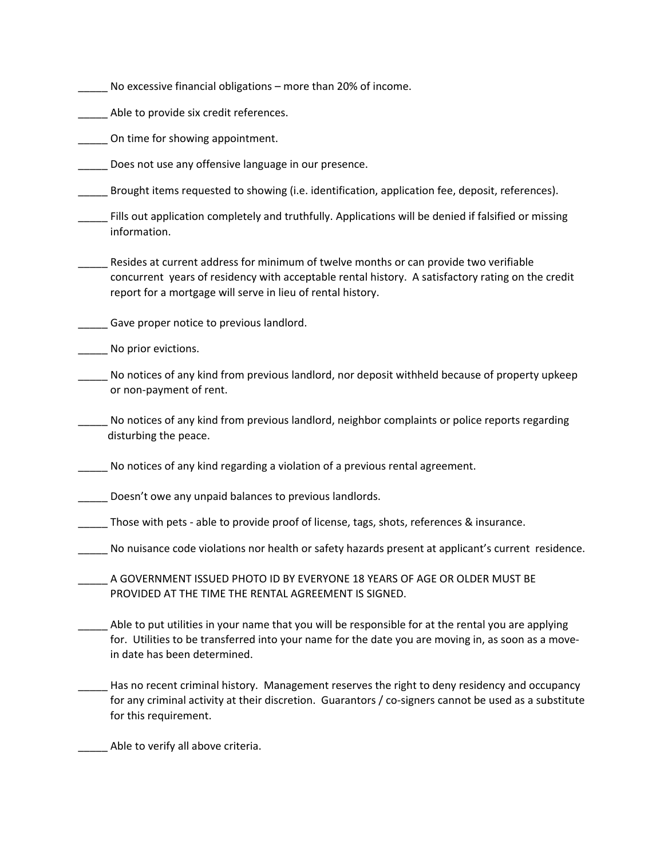- \_\_\_\_\_ No excessive financial obligations more than 20% of income.
- Able to provide six credit references.
- \_\_\_\_\_ On time for showing appointment.
- \_\_\_\_\_ Does not use any offensive language in our presence.
- \_\_\_\_\_ Brought items requested to showing (i.e. identification, application fee, deposit, references).
- \_\_\_\_\_ Fills out application completely and truthfully. Applications will be denied if falsified or missing information.
- \_\_\_\_\_ Resides at current address for minimum of twelve months or can provide two verifiable concurrent years of residency with acceptable rental history. A satisfactory rating on the credit report for a mortgage will serve in lieu of rental history.
- **EXEC** Gave proper notice to previous landlord.
- \_\_\_\_\_ No prior evictions.
- \_\_\_\_\_ No notices of any kind from previous landlord, nor deposit withheld because of property upkeep or non‐payment of rent.
- \_\_\_\_\_ No notices of any kind from previous landlord, neighbor complaints or police reports regarding disturbing the peace.
- No notices of any kind regarding a violation of a previous rental agreement.
- \_\_\_\_\_ Doesn't owe any unpaid balances to previous landlords.
- \_\_\_\_\_ Those with pets ‐ able to provide proof of license, tags, shots, references & insurance.
- \_\_\_\_\_ No nuisance code violations nor health or safety hazards present at applicant's current residence.
- A GOVERNMENT ISSUED PHOTO ID BY EVERYONE 18 YEARS OF AGE OR OLDER MUST BE PROVIDED AT THE TIME THE RENTAL AGREEMENT IS SIGNED.
- Able to put utilities in your name that you will be responsible for at the rental you are applying for. Utilities to be transferred into your name for the date you are moving in, as soon as a move-in date has been determined.
- \_\_\_\_\_ Has no recent criminal history. Management reserves the right to deny residency and occupancy for any criminal activity at their discretion. Guarantors / co-signers cannot be used as a substitute for this requirement.

\_\_\_\_\_ Able to verify all above criteria.